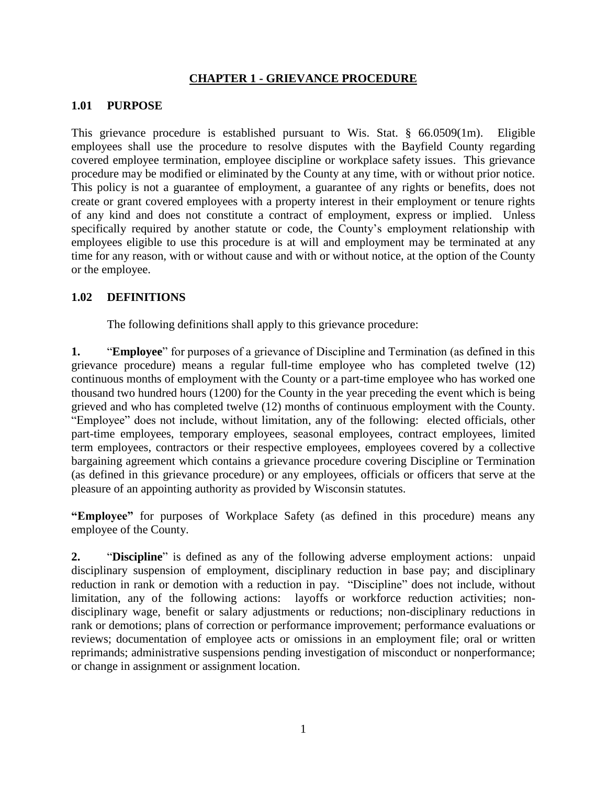### **CHAPTER 1 - GRIEVANCE PROCEDURE**

### **1.01 PURPOSE**

This grievance procedure is established pursuant to Wis. Stat. § 66.0509(1m). Eligible employees shall use the procedure to resolve disputes with the Bayfield County regarding covered employee termination, employee discipline or workplace safety issues. This grievance procedure may be modified or eliminated by the County at any time, with or without prior notice. This policy is not a guarantee of employment, a guarantee of any rights or benefits, does not create or grant covered employees with a property interest in their employment or tenure rights of any kind and does not constitute a contract of employment, express or implied. Unless specifically required by another statute or code, the County's employment relationship with employees eligible to use this procedure is at will and employment may be terminated at any time for any reason, with or without cause and with or without notice, at the option of the County or the employee.

## **1.02 DEFINITIONS**

The following definitions shall apply to this grievance procedure:

**1.** "**Employee**" for purposes of a grievance of Discipline and Termination (as defined in this grievance procedure) means a regular full-time employee who has completed twelve (12) continuous months of employment with the County or a part-time employee who has worked one thousand two hundred hours (1200) for the County in the year preceding the event which is being grieved and who has completed twelve (12) months of continuous employment with the County. "Employee" does not include, without limitation, any of the following: elected officials, other part-time employees, temporary employees, seasonal employees, contract employees, limited term employees, contractors or their respective employees, employees covered by a collective bargaining agreement which contains a grievance procedure covering Discipline or Termination (as defined in this grievance procedure) or any employees, officials or officers that serve at the pleasure of an appointing authority as provided by Wisconsin statutes.

**"Employee"** for purposes of Workplace Safety (as defined in this procedure) means any employee of the County.

**2.** "**Discipline**" is defined as any of the following adverse employment actions: unpaid disciplinary suspension of employment, disciplinary reduction in base pay; and disciplinary reduction in rank or demotion with a reduction in pay. "Discipline" does not include, without limitation, any of the following actions: layoffs or workforce reduction activities; nondisciplinary wage, benefit or salary adjustments or reductions; non-disciplinary reductions in rank or demotions; plans of correction or performance improvement; performance evaluations or reviews; documentation of employee acts or omissions in an employment file; oral or written reprimands; administrative suspensions pending investigation of misconduct or nonperformance; or change in assignment or assignment location.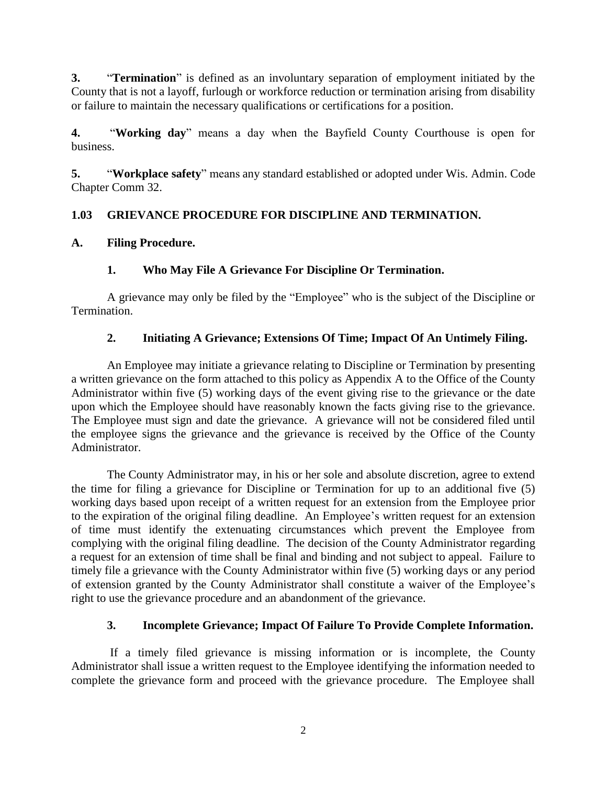**3.** "**Termination**" is defined as an involuntary separation of employment initiated by the County that is not a layoff, furlough or workforce reduction or termination arising from disability or failure to maintain the necessary qualifications or certifications for a position.

**4.** "**Working day**" means a day when the Bayfield County Courthouse is open for business.

**5.** "**Workplace safety**" means any standard established or adopted under Wis. Admin. Code Chapter Comm 32.

# **1.03 GRIEVANCE PROCEDURE FOR DISCIPLINE AND TERMINATION.**

# **A. Filing Procedure.**

# **1. Who May File A Grievance For Discipline Or Termination.**

A grievance may only be filed by the "Employee" who is the subject of the Discipline or Termination.

# **2. Initiating A Grievance; Extensions Of Time; Impact Of An Untimely Filing.**

An Employee may initiate a grievance relating to Discipline or Termination by presenting a written grievance on the form attached to this policy as Appendix A to the Office of the County Administrator within five (5) working days of the event giving rise to the grievance or the date upon which the Employee should have reasonably known the facts giving rise to the grievance. The Employee must sign and date the grievance. A grievance will not be considered filed until the employee signs the grievance and the grievance is received by the Office of the County Administrator.

The County Administrator may, in his or her sole and absolute discretion, agree to extend the time for filing a grievance for Discipline or Termination for up to an additional five (5) working days based upon receipt of a written request for an extension from the Employee prior to the expiration of the original filing deadline. An Employee's written request for an extension of time must identify the extenuating circumstances which prevent the Employee from complying with the original filing deadline. The decision of the County Administrator regarding a request for an extension of time shall be final and binding and not subject to appeal. Failure to timely file a grievance with the County Administrator within five (5) working days or any period of extension granted by the County Administrator shall constitute a waiver of the Employee's right to use the grievance procedure and an abandonment of the grievance.

# **3. Incomplete Grievance; Impact Of Failure To Provide Complete Information.**

If a timely filed grievance is missing information or is incomplete, the County Administrator shall issue a written request to the Employee identifying the information needed to complete the grievance form and proceed with the grievance procedure. The Employee shall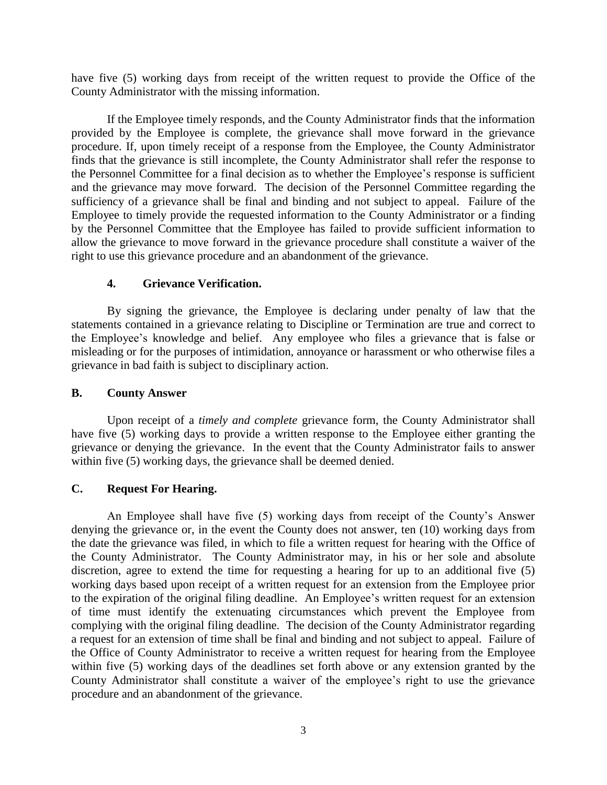have five (5) working days from receipt of the written request to provide the Office of the County Administrator with the missing information.

If the Employee timely responds, and the County Administrator finds that the information provided by the Employee is complete, the grievance shall move forward in the grievance procedure. If, upon timely receipt of a response from the Employee, the County Administrator finds that the grievance is still incomplete, the County Administrator shall refer the response to the Personnel Committee for a final decision as to whether the Employee's response is sufficient and the grievance may move forward. The decision of the Personnel Committee regarding the sufficiency of a grievance shall be final and binding and not subject to appeal. Failure of the Employee to timely provide the requested information to the County Administrator or a finding by the Personnel Committee that the Employee has failed to provide sufficient information to allow the grievance to move forward in the grievance procedure shall constitute a waiver of the right to use this grievance procedure and an abandonment of the grievance.

### **4. Grievance Verification.**

By signing the grievance, the Employee is declaring under penalty of law that the statements contained in a grievance relating to Discipline or Termination are true and correct to the Employee's knowledge and belief. Any employee who files a grievance that is false or misleading or for the purposes of intimidation, annoyance or harassment or who otherwise files a grievance in bad faith is subject to disciplinary action.

### **B. County Answer**

Upon receipt of a *timely and complete* grievance form, the County Administrator shall have five (5) working days to provide a written response to the Employee either granting the grievance or denying the grievance. In the event that the County Administrator fails to answer within five (5) working days, the grievance shall be deemed denied.

### **C. Request For Hearing.**

An Employee shall have five (5) working days from receipt of the County's Answer denying the grievance or, in the event the County does not answer, ten (10) working days from the date the grievance was filed, in which to file a written request for hearing with the Office of the County Administrator. The County Administrator may, in his or her sole and absolute discretion, agree to extend the time for requesting a hearing for up to an additional five (5) working days based upon receipt of a written request for an extension from the Employee prior to the expiration of the original filing deadline. An Employee's written request for an extension of time must identify the extenuating circumstances which prevent the Employee from complying with the original filing deadline. The decision of the County Administrator regarding a request for an extension of time shall be final and binding and not subject to appeal. Failure of the Office of County Administrator to receive a written request for hearing from the Employee within five (5) working days of the deadlines set forth above or any extension granted by the County Administrator shall constitute a waiver of the employee's right to use the grievance procedure and an abandonment of the grievance.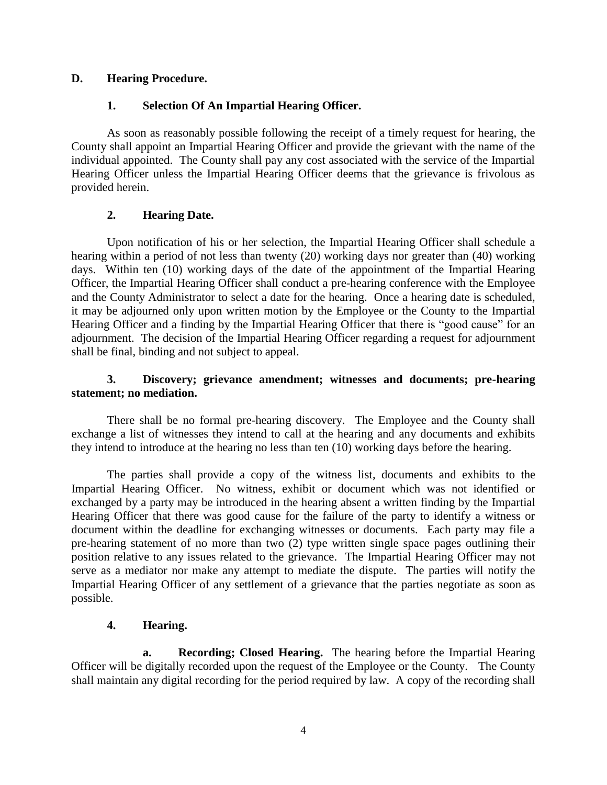## **D. Hearing Procedure.**

## **1. Selection Of An Impartial Hearing Officer.**

As soon as reasonably possible following the receipt of a timely request for hearing, the County shall appoint an Impartial Hearing Officer and provide the grievant with the name of the individual appointed. The County shall pay any cost associated with the service of the Impartial Hearing Officer unless the Impartial Hearing Officer deems that the grievance is frivolous as provided herein.

### **2. Hearing Date.**

Upon notification of his or her selection, the Impartial Hearing Officer shall schedule a hearing within a period of not less than twenty (20) working days nor greater than (40) working days. Within ten (10) working days of the date of the appointment of the Impartial Hearing Officer, the Impartial Hearing Officer shall conduct a pre-hearing conference with the Employee and the County Administrator to select a date for the hearing. Once a hearing date is scheduled, it may be adjourned only upon written motion by the Employee or the County to the Impartial Hearing Officer and a finding by the Impartial Hearing Officer that there is "good cause" for an adjournment. The decision of the Impartial Hearing Officer regarding a request for adjournment shall be final, binding and not subject to appeal.

### **3. Discovery; grievance amendment; witnesses and documents; pre-hearing statement; no mediation.**

There shall be no formal pre-hearing discovery. The Employee and the County shall exchange a list of witnesses they intend to call at the hearing and any documents and exhibits they intend to introduce at the hearing no less than ten (10) working days before the hearing.

The parties shall provide a copy of the witness list, documents and exhibits to the Impartial Hearing Officer. No witness, exhibit or document which was not identified or exchanged by a party may be introduced in the hearing absent a written finding by the Impartial Hearing Officer that there was good cause for the failure of the party to identify a witness or document within the deadline for exchanging witnesses or documents. Each party may file a pre-hearing statement of no more than two (2) type written single space pages outlining their position relative to any issues related to the grievance. The Impartial Hearing Officer may not serve as a mediator nor make any attempt to mediate the dispute. The parties will notify the Impartial Hearing Officer of any settlement of a grievance that the parties negotiate as soon as possible.

## **4. Hearing.**

**a. Recording; Closed Hearing.** The hearing before the Impartial Hearing Officer will be digitally recorded upon the request of the Employee or the County. The County shall maintain any digital recording for the period required by law. A copy of the recording shall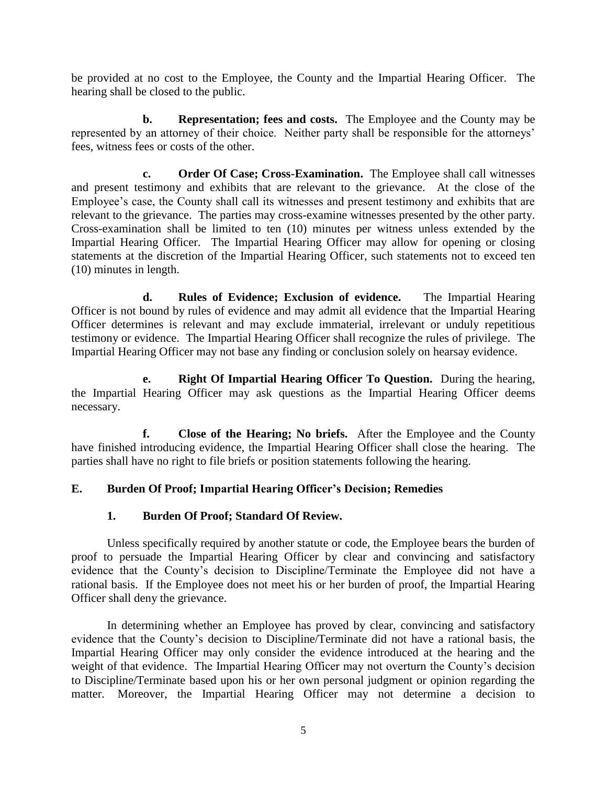be provided at no cost to the Employee, the County and the Impartial Hearing Officer. The hearing shall be closed to the public.

**b. Representation; fees and costs.** The Employee and the County may be represented by an attorney of their choice. Neither party shall be responsible for the attorneys' fees, witness fees or costs of the other.

**c. Order Of Case; Cross-Examination.** The Employee shall call witnesses and present testimony and exhibits that are relevant to the grievance. At the close of the Employee's case, the County shall call its witnesses and present testimony and exhibits that are relevant to the grievance. The parties may cross-examine witnesses presented by the other party. Cross-examination shall be limited to ten (10) minutes per witness unless extended by the Impartial Hearing Officer. The Impartial Hearing Officer may allow for opening or closing statements at the discretion of the Impartial Hearing Officer, such statements not to exceed ten (10) minutes in length.

**d. Rules of Evidence; Exclusion of evidence.** The Impartial Hearing Officer is not bound by rules of evidence and may admit all evidence that the Impartial Hearing Officer determines is relevant and may exclude immaterial, irrelevant or unduly repetitious testimony or evidence. The Impartial Hearing Officer shall recognize the rules of privilege. The Impartial Hearing Officer may not base any finding or conclusion solely on hearsay evidence.

**e. Right Of Impartial Hearing Officer To Question.** During the hearing, the Impartial Hearing Officer may ask questions as the Impartial Hearing Officer deems necessary.

**f. Close of the Hearing; No briefs.** After the Employee and the County have finished introducing evidence, the Impartial Hearing Officer shall close the hearing. The parties shall have no right to file briefs or position statements following the hearing.

## **E. Burden Of Proof; Impartial Hearing Officer's Decision; Remedies**

### **1. Burden Of Proof; Standard Of Review.**

Unless specifically required by another statute or code, the Employee bears the burden of proof to persuade the Impartial Hearing Officer by clear and convincing and satisfactory evidence that the County's decision to Discipline/Terminate the Employee did not have a rational basis. If the Employee does not meet his or her burden of proof, the Impartial Hearing Officer shall deny the grievance.

In determining whether an Employee has proved by clear, convincing and satisfactory evidence that the County's decision to Discipline/Terminate did not have a rational basis, the Impartial Hearing Officer may only consider the evidence introduced at the hearing and the weight of that evidence. The Impartial Hearing Officer may not overturn the County's decision to Discipline/Terminate based upon his or her own personal judgment or opinion regarding the matter. Moreover, the Impartial Hearing Officer may not determine a decision to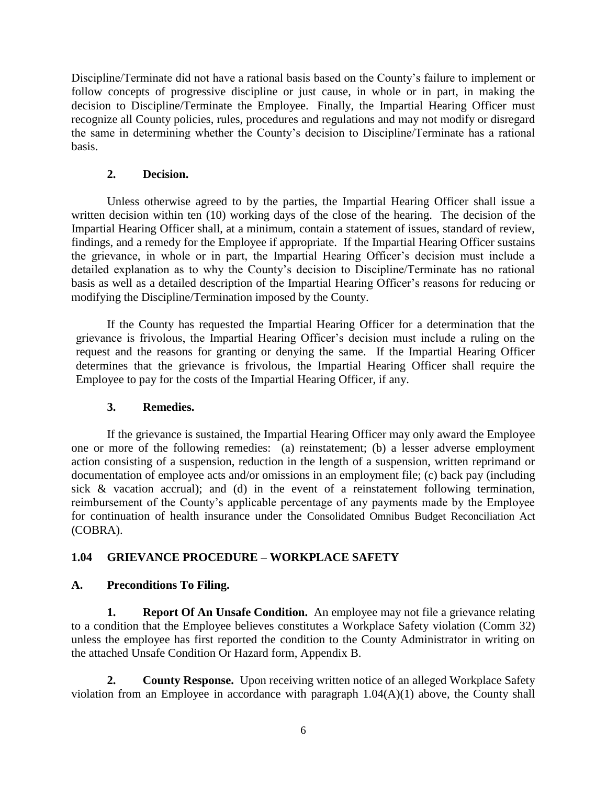Discipline/Terminate did not have a rational basis based on the County's failure to implement or follow concepts of progressive discipline or just cause, in whole or in part, in making the decision to Discipline/Terminate the Employee. Finally, the Impartial Hearing Officer must recognize all County policies, rules, procedures and regulations and may not modify or disregard the same in determining whether the County's decision to Discipline/Terminate has a rational basis.

## **2. Decision.**

Unless otherwise agreed to by the parties, the Impartial Hearing Officer shall issue a written decision within ten (10) working days of the close of the hearing. The decision of the Impartial Hearing Officer shall, at a minimum, contain a statement of issues, standard of review, findings, and a remedy for the Employee if appropriate. If the Impartial Hearing Officer sustains the grievance, in whole or in part, the Impartial Hearing Officer's decision must include a detailed explanation as to why the County's decision to Discipline/Terminate has no rational basis as well as a detailed description of the Impartial Hearing Officer's reasons for reducing or modifying the Discipline/Termination imposed by the County.

If the County has requested the Impartial Hearing Officer for a determination that the grievance is frivolous, the Impartial Hearing Officer's decision must include a ruling on the request and the reasons for granting or denying the same. If the Impartial Hearing Officer determines that the grievance is frivolous, the Impartial Hearing Officer shall require the Employee to pay for the costs of the Impartial Hearing Officer, if any.

# **3. Remedies.**

If the grievance is sustained, the Impartial Hearing Officer may only award the Employee one or more of the following remedies: (a) reinstatement; (b) a lesser adverse employment action consisting of a suspension, reduction in the length of a suspension, written reprimand or documentation of employee acts and/or omissions in an employment file; (c) back pay (including sick & vacation accrual); and (d) in the event of a reinstatement following termination, reimbursement of the County's applicable percentage of any payments made by the Employee for continuation of health insurance under the Consolidated Omnibus Budget Reconciliation Act (COBRA).

# **1.04 GRIEVANCE PROCEDURE – WORKPLACE SAFETY**

# **A. Preconditions To Filing.**

**1. Report Of An Unsafe Condition.** An employee may not file a grievance relating to a condition that the Employee believes constitutes a Workplace Safety violation (Comm 32) unless the employee has first reported the condition to the County Administrator in writing on the attached Unsafe Condition Or Hazard form, Appendix B.

**2. County Response.** Upon receiving written notice of an alleged Workplace Safety violation from an Employee in accordance with paragraph 1.04(A)(1) above, the County shall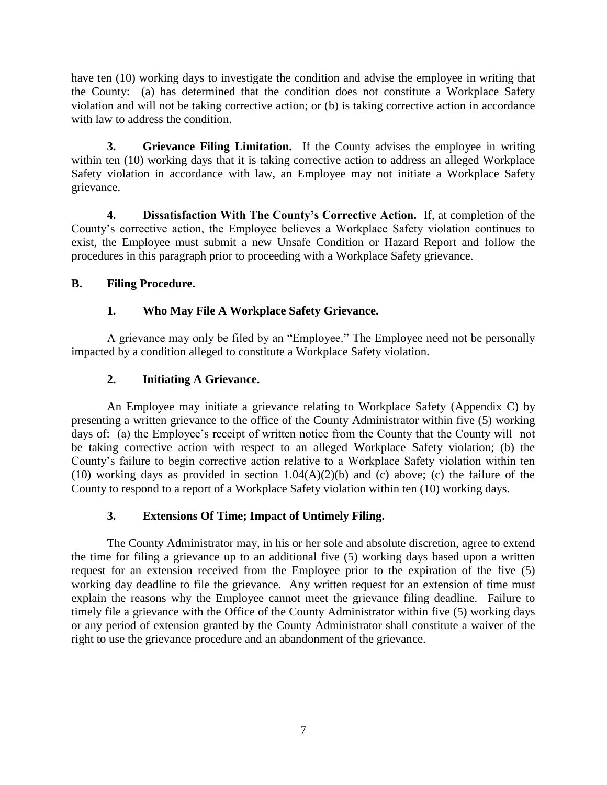have ten (10) working days to investigate the condition and advise the employee in writing that the County: (a) has determined that the condition does not constitute a Workplace Safety violation and will not be taking corrective action; or (b) is taking corrective action in accordance with law to address the condition.

**3. Grievance Filing Limitation.** If the County advises the employee in writing within ten (10) working days that it is taking corrective action to address an alleged Workplace Safety violation in accordance with law, an Employee may not initiate a Workplace Safety grievance.

**4. Dissatisfaction With The County's Corrective Action.** If, at completion of the County's corrective action, the Employee believes a Workplace Safety violation continues to exist, the Employee must submit a new Unsafe Condition or Hazard Report and follow the procedures in this paragraph prior to proceeding with a Workplace Safety grievance.

# **B. Filing Procedure.**

# **1. Who May File A Workplace Safety Grievance.**

A grievance may only be filed by an "Employee." The Employee need not be personally impacted by a condition alleged to constitute a Workplace Safety violation.

# **2. Initiating A Grievance.**

An Employee may initiate a grievance relating to Workplace Safety (Appendix C) by presenting a written grievance to the office of the County Administrator within five (5) working days of: (a) the Employee's receipt of written notice from the County that the County will not be taking corrective action with respect to an alleged Workplace Safety violation; (b) the County's failure to begin corrective action relative to a Workplace Safety violation within ten (10) working days as provided in section  $1.04(A)(2)(b)$  and (c) above; (c) the failure of the County to respond to a report of a Workplace Safety violation within ten (10) working days.

## **3. Extensions Of Time; Impact of Untimely Filing.**

The County Administrator may, in his or her sole and absolute discretion, agree to extend the time for filing a grievance up to an additional five (5) working days based upon a written request for an extension received from the Employee prior to the expiration of the five (5) working day deadline to file the grievance. Any written request for an extension of time must explain the reasons why the Employee cannot meet the grievance filing deadline. Failure to timely file a grievance with the Office of the County Administrator within five (5) working days or any period of extension granted by the County Administrator shall constitute a waiver of the right to use the grievance procedure and an abandonment of the grievance.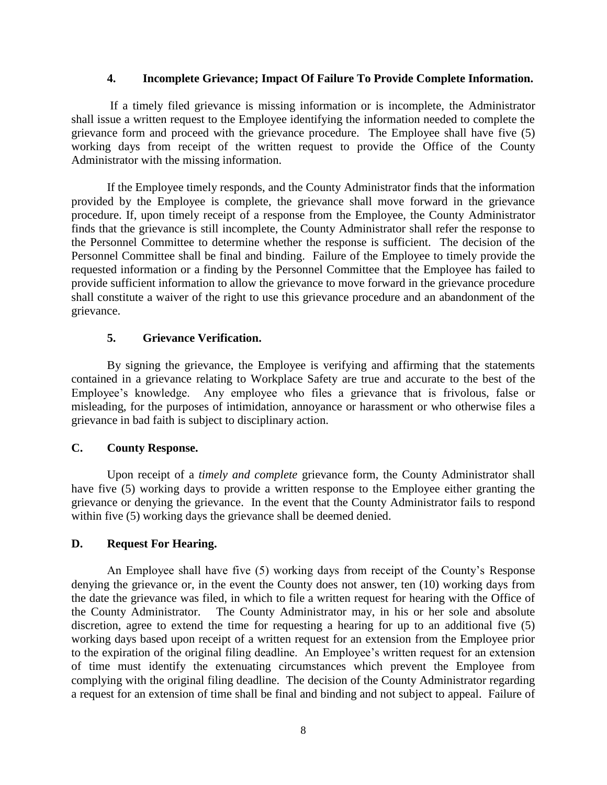#### **4. Incomplete Grievance; Impact Of Failure To Provide Complete Information.**

If a timely filed grievance is missing information or is incomplete, the Administrator shall issue a written request to the Employee identifying the information needed to complete the grievance form and proceed with the grievance procedure. The Employee shall have five (5) working days from receipt of the written request to provide the Office of the County Administrator with the missing information.

If the Employee timely responds, and the County Administrator finds that the information provided by the Employee is complete, the grievance shall move forward in the grievance procedure. If, upon timely receipt of a response from the Employee, the County Administrator finds that the grievance is still incomplete, the County Administrator shall refer the response to the Personnel Committee to determine whether the response is sufficient. The decision of the Personnel Committee shall be final and binding. Failure of the Employee to timely provide the requested information or a finding by the Personnel Committee that the Employee has failed to provide sufficient information to allow the grievance to move forward in the grievance procedure shall constitute a waiver of the right to use this grievance procedure and an abandonment of the grievance.

### **5. Grievance Verification.**

By signing the grievance, the Employee is verifying and affirming that the statements contained in a grievance relating to Workplace Safety are true and accurate to the best of the Employee's knowledge. Any employee who files a grievance that is frivolous, false or misleading, for the purposes of intimidation, annoyance or harassment or who otherwise files a grievance in bad faith is subject to disciplinary action.

## **C. County Response.**

Upon receipt of a *timely and complete* grievance form, the County Administrator shall have five (5) working days to provide a written response to the Employee either granting the grievance or denying the grievance. In the event that the County Administrator fails to respond within five (5) working days the grievance shall be deemed denied.

### **D. Request For Hearing.**

An Employee shall have five (5) working days from receipt of the County's Response denying the grievance or, in the event the County does not answer, ten (10) working days from the date the grievance was filed, in which to file a written request for hearing with the Office of the County Administrator. The County Administrator may, in his or her sole and absolute discretion, agree to extend the time for requesting a hearing for up to an additional five (5) working days based upon receipt of a written request for an extension from the Employee prior to the expiration of the original filing deadline. An Employee's written request for an extension of time must identify the extenuating circumstances which prevent the Employee from complying with the original filing deadline. The decision of the County Administrator regarding a request for an extension of time shall be final and binding and not subject to appeal. Failure of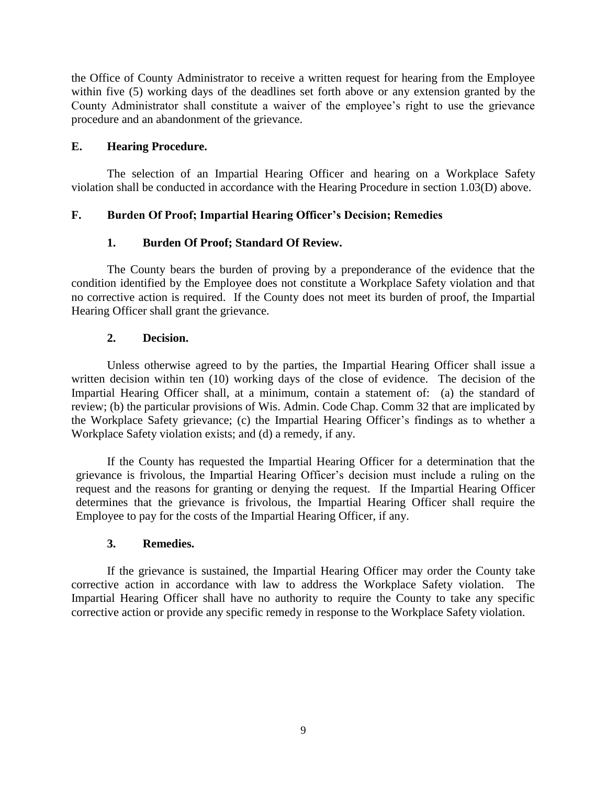the Office of County Administrator to receive a written request for hearing from the Employee within five (5) working days of the deadlines set forth above or any extension granted by the County Administrator shall constitute a waiver of the employee's right to use the grievance procedure and an abandonment of the grievance.

## **E. Hearing Procedure.**

The selection of an Impartial Hearing Officer and hearing on a Workplace Safety violation shall be conducted in accordance with the Hearing Procedure in section 1.03(D) above.

## **F. Burden Of Proof; Impartial Hearing Officer's Decision; Remedies**

# **1. Burden Of Proof; Standard Of Review.**

The County bears the burden of proving by a preponderance of the evidence that the condition identified by the Employee does not constitute a Workplace Safety violation and that no corrective action is required. If the County does not meet its burden of proof, the Impartial Hearing Officer shall grant the grievance.

## **2. Decision.**

Unless otherwise agreed to by the parties, the Impartial Hearing Officer shall issue a written decision within ten (10) working days of the close of evidence. The decision of the Impartial Hearing Officer shall, at a minimum, contain a statement of: (a) the standard of review; (b) the particular provisions of Wis. Admin. Code Chap. Comm 32 that are implicated by the Workplace Safety grievance; (c) the Impartial Hearing Officer's findings as to whether a Workplace Safety violation exists; and (d) a remedy, if any.

If the County has requested the Impartial Hearing Officer for a determination that the grievance is frivolous, the Impartial Hearing Officer's decision must include a ruling on the request and the reasons for granting or denying the request. If the Impartial Hearing Officer determines that the grievance is frivolous, the Impartial Hearing Officer shall require the Employee to pay for the costs of the Impartial Hearing Officer, if any.

## **3. Remedies.**

If the grievance is sustained, the Impartial Hearing Officer may order the County take corrective action in accordance with law to address the Workplace Safety violation. The Impartial Hearing Officer shall have no authority to require the County to take any specific corrective action or provide any specific remedy in response to the Workplace Safety violation.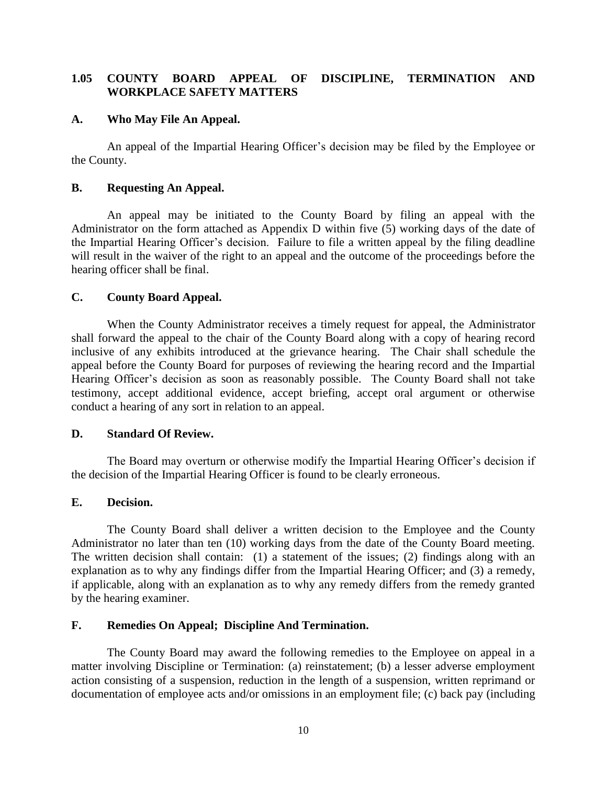### **1.05 COUNTY BOARD APPEAL OF DISCIPLINE, TERMINATION AND WORKPLACE SAFETY MATTERS**

#### **A. Who May File An Appeal.**

An appeal of the Impartial Hearing Officer's decision may be filed by the Employee or the County.

#### **B. Requesting An Appeal.**

An appeal may be initiated to the County Board by filing an appeal with the Administrator on the form attached as Appendix D within five (5) working days of the date of the Impartial Hearing Officer's decision. Failure to file a written appeal by the filing deadline will result in the waiver of the right to an appeal and the outcome of the proceedings before the hearing officer shall be final.

#### **C. County Board Appeal.**

When the County Administrator receives a timely request for appeal, the Administrator shall forward the appeal to the chair of the County Board along with a copy of hearing record inclusive of any exhibits introduced at the grievance hearing. The Chair shall schedule the appeal before the County Board for purposes of reviewing the hearing record and the Impartial Hearing Officer's decision as soon as reasonably possible. The County Board shall not take testimony, accept additional evidence, accept briefing, accept oral argument or otherwise conduct a hearing of any sort in relation to an appeal.

#### **D. Standard Of Review.**

The Board may overturn or otherwise modify the Impartial Hearing Officer's decision if the decision of the Impartial Hearing Officer is found to be clearly erroneous.

#### **E. Decision.**

The County Board shall deliver a written decision to the Employee and the County Administrator no later than ten (10) working days from the date of the County Board meeting. The written decision shall contain: (1) a statement of the issues; (2) findings along with an explanation as to why any findings differ from the Impartial Hearing Officer; and (3) a remedy, if applicable, along with an explanation as to why any remedy differs from the remedy granted by the hearing examiner.

#### **F. Remedies On Appeal; Discipline And Termination.**

The County Board may award the following remedies to the Employee on appeal in a matter involving Discipline or Termination: (a) reinstatement; (b) a lesser adverse employment action consisting of a suspension, reduction in the length of a suspension, written reprimand or documentation of employee acts and/or omissions in an employment file; (c) back pay (including